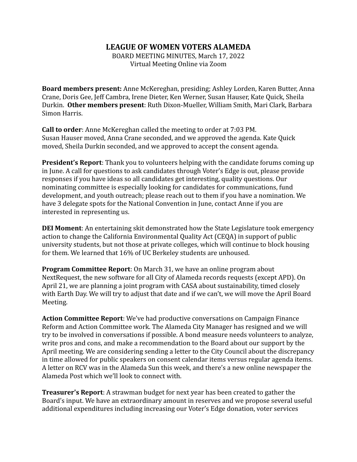## **LEAGUE OF WOMEN VOTERS ALAMEDA**

BOARD MEETING MINUTES, March 17, 2022 Virtual Meeting Online via Zoom

**Board members present:** Anne McKereghan, presiding; Ashley Lorden, Karen Butter, Anna Crane, Doris Gee, Jeff Cambra, Irene Dieter, Ken Werner, Susan Hauser, Kate Quick, Sheila Durkin. **Other members present**: Ruth Dixon-Mueller, William Smith, Mari Clark, Barbara Simon Harris.

**Call to order**: Anne McKereghan called the meeting to order at 7:03 PM. Susan Hauser moved, Anna Crane seconded, and we approved the agenda. Kate Quick moved, Sheila Durkin seconded, and we approved to accept the consent agenda.

**President's Report**: Thank you to volunteers helping with the candidate forums coming up in June. A call for questions to ask candidates through Voter's Edge is out, please provide responses if you have ideas so all candidates get interesting, quality questions. Our nominating committee is especially looking for candidates for communications, fund development, and youth outreach; please reach out to them if you have a nomination. We have 3 delegate spots for the National Convention in June, contact Anne if you are interested in representing us.

**DEI Moment**: An entertaining skit demonstrated how the State Legislature took emergency action to change the California Environmental Quality Act (CEQA) in support of public university students, but not those at private colleges, which will continue to block housing for them. We learned that 16% of UC Berkeley students are unhoused.

**Program Committee Report**: On March 31, we have an online program about NextRequest, the new software for all City of Alameda records requests (except APD). On April 21, we are planning a joint program with CASA about sustainability, timed closely with Earth Day. We will try to adjust that date and if we can't, we will move the April Board Meeting.

**Action Committee Report**: We've had productive conversations on Campaign Finance Reform and Action Committee work. The Alameda City Manager has resigned and we will try to be involved in conversations if possible. A bond measure needs volunteers to analyze, write pros and cons, and make a recommendation to the Board about our support by the April meeting. We are considering sending a letter to the City Council about the discrepancy in time allowed for public speakers on consent calendar items versus regular agenda items. A letter on RCV was in the Alameda Sun this week, and there's a new online newspaper the Alameda Post which we'll look to connect with.

**Treasurer's Report**: A strawman budget for next year has been created to gather the Board's input. We have an extraordinary amount in reserves and we propose several useful additional expenditures including increasing our Voter's Edge donation, voter services